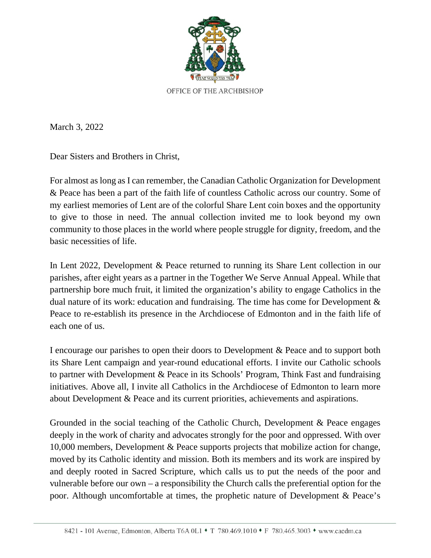

March 3, 2022

Dear Sisters and Brothers in Christ,

For almost as long as I can remember, the Canadian Catholic Organization for Development & Peace has been a part of the faith life of countless Catholic across our country. Some of my earliest memories of Lent are of the colorful Share Lent coin boxes and the opportunity to give to those in need. The annual collection invited me to look beyond my own community to those places in the world where people struggle for dignity, freedom, and the basic necessities of life.

In Lent 2022, Development & Peace returned to running its Share Lent collection in our parishes, after eight years as a partner in the Together We Serve Annual Appeal. While that partnership bore much fruit, it limited the organization's ability to engage Catholics in the dual nature of its work: education and fundraising. The time has come for Development & Peace to re-establish its presence in the Archdiocese of Edmonton and in the faith life of each one of us.

I encourage our parishes to open their doors to Development & Peace and to support both its Share Lent campaign and year-round educational efforts. I invite our Catholic schools to partner with Development & Peace in its Schools' Program, Think Fast and fundraising initiatives. Above all, I invite all Catholics in the Archdiocese of Edmonton to learn more about Development & Peace and its current priorities, achievements and aspirations.

Grounded in the social teaching of the Catholic Church, Development & Peace engages deeply in the work of charity and advocates strongly for the poor and oppressed. With over 10,000 members, Development & Peace supports projects that mobilize action for change, moved by its Catholic identity and mission. Both its members and its work are inspired by and deeply rooted in Sacred Scripture, which calls us to put the needs of the poor and vulnerable before our own – a responsibility the Church calls the preferential option for the poor. Although uncomfortable at times, the prophetic nature of Development & Peace's